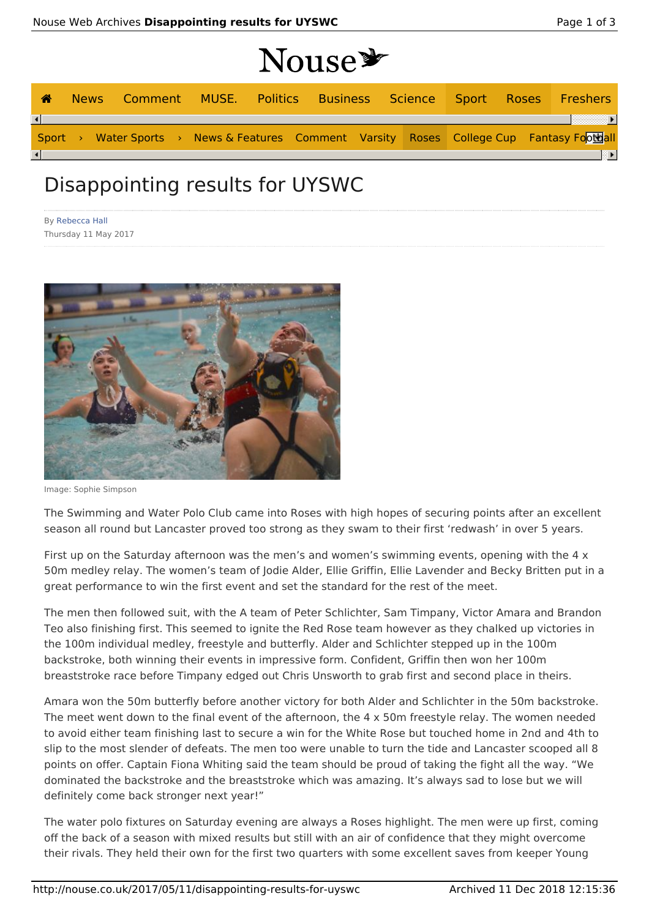|   |             |  |  |  | Nouse * |  |  |  |                                                                                           |
|---|-------------|--|--|--|---------|--|--|--|-------------------------------------------------------------------------------------------|
| ☎ | <b>News</b> |  |  |  |         |  |  |  | Comment MUSE. Politics Business Science Sport Roses Freshers                              |
|   |             |  |  |  |         |  |  |  |                                                                                           |
|   |             |  |  |  |         |  |  |  | Sport > Water Sports > News & Features Comment Varsity Roses College Cup Fantasy Football |
|   |             |  |  |  |         |  |  |  | ≕⊧                                                                                        |

## Disappointing results for UYSWC

By Rebecca Hall Thursday 11 May 2017



Image: Sophie Simpson

The Swimming and Water Polo Club came into Roses with high hopes of securing points after an excellent season all round but Lancaster proved too strong as they swam to their first 'redwash' in over 5 years.

First up on the Saturday afternoon was the men's and women's swimming events, opening with the  $4 \times$ 50m medley relay. The women's team of Jodie Alder, Ellie Griffin, Ellie Lavender and Becky Britten put in a great performance to win the first event and set the standard for the rest of the meet.

The men then followed suit, with the A team of Peter Schlichter, Sam Timpany, Victor Amara and Brandon Teo also finishing first. This seemed to ignite the Red Rose team however as they chalked up victories in the 100m individual medley, freestyle and butterfly. Alder and Schlichter stepped up in the 100m backstroke, both winning their events in impressive form. Confident, Griffin then won her 100m breaststroke race before Timpany edged out Chris Unsworth to grab first and second place in theirs.

Amara won the 50m butterfly before another victory for both Alder and Schlichter in the 50m backstroke. The meet went down to the final event of the afternoon, the 4 x 50m freestyle relay. The women needed to avoid either team finishing last to secure a win for the White Rose but touched home in 2nd and 4th to slip to the most slender of defeats. The men too were unable to turn the tide and Lancaster scooped all 8 points on offer. Captain Fiona Whiting said the team should be proud of taking the fight all the way. "We dominated the backstroke and the breaststroke which was amazing. It's always sad to lose but we will definitely come back stronger next year!"

The water polo fixtures on Saturday evening are always a Roses highlight. The men were up first, coming off the back of a season with mixed results but still with an air of confidence that they might overcome their rivals. They held their own for the first two quarters with some excellent saves from keeper Young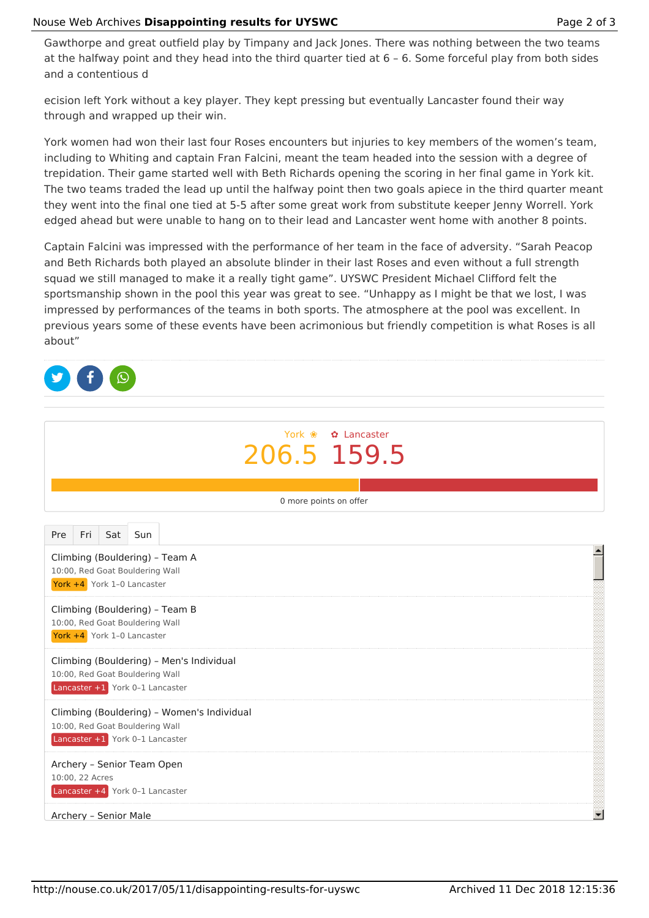Gawthorpe and great outfield play by Timpany and Jack Jones. There was nothing between the two teams at the halfway point and they head into the third quarter tied at 6 – 6. Some forceful play from both sides and a contentious d

ecision left York without a key player. They kept pressing but eventually Lancaster found their way through and wrapped up their win.

York women had won their last four Roses encounters but injuries to key members of the women's team, including to Whiting and captain Fran Falcini, meant the team headed into the session with a degree of trepidation. Their game started well with Beth Richards opening the scoring in her final game in York kit. The two teams traded the lead up until the halfway point then two goals apiece in the third quarter meant they went into the final one tied at 5-5 after some great work from substitute keeper Jenny Worrell. York edged ahead but were unable to hang on to their lead and Lancaster went home with another 8 points.

Captain Falcini was impressed with the performance of her team in the face of adversity. "Sarah Peacop and Beth Richards both played an absolute blinder in their last Roses and even without a full strength squad we still managed to make it a really tight game". UYSWC President Michael Clifford felt the sportsmanship shown in the pool this year was great to see. "Unhappy as I might be that we lost, I was impressed by performances of the teams in both sports. The atmosphere at the pool was excellent. In previous years some of these events have been acrimonious but friendly competition is what Roses is all about"

| York � <b>a</b> Lancaster<br>206.5 159.5                                                                         |                          |  |  |  |  |  |  |
|------------------------------------------------------------------------------------------------------------------|--------------------------|--|--|--|--|--|--|
| 0 more points on offer                                                                                           |                          |  |  |  |  |  |  |
| Fri<br>Sat<br>Sun<br>Pre                                                                                         |                          |  |  |  |  |  |  |
| Climbing (Bouldering) - Team A<br>10:00, Red Goat Bouldering Wall<br>York +4 York 1-0 Lancaster                  |                          |  |  |  |  |  |  |
| Climbing (Bouldering) - Team B<br>10:00, Red Goat Bouldering Wall<br>York +4 York 1-0 Lancaster                  |                          |  |  |  |  |  |  |
| Climbing (Bouldering) - Men's Individual<br>10:00, Red Goat Bouldering Wall<br>Lancaster +1 York 0-1 Lancaster   |                          |  |  |  |  |  |  |
| Climbing (Bouldering) - Women's Individual<br>10:00, Red Goat Bouldering Wall<br>Lancaster +1 York 0-1 Lancaster |                          |  |  |  |  |  |  |
| Archery - Senior Team Open<br>10:00, 22 Acres<br>Lancaster +4 York 0-1 Lancaster                                 |                          |  |  |  |  |  |  |
| Archery - Senior Male                                                                                            | $\overline{\phantom{0}}$ |  |  |  |  |  |  |